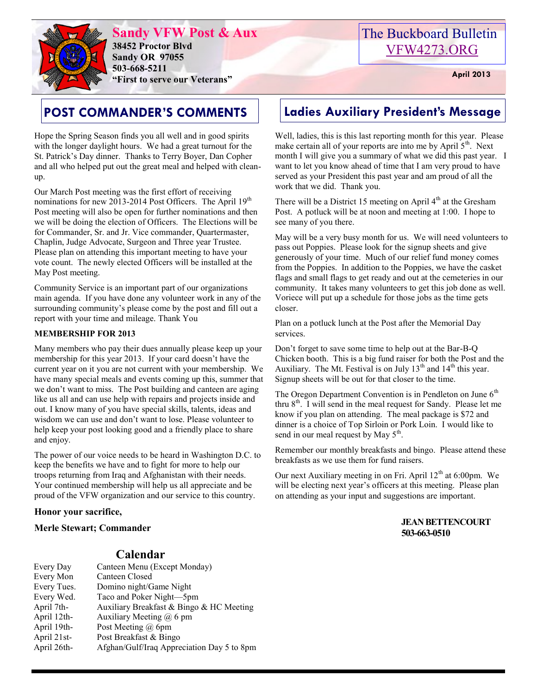

**Sandy VFW Post & Aux 38452 Proctor Blvd Sandy OR 97055 503-668-5211 "First to serve our Veterans" April 2013** 

Hope the Spring Season finds you all well and in good spirits with the longer daylight hours. We had a great turnout for the St. Patrick's Day dinner. Thanks to Terry Boyer, Dan Copher and all who helped put out the great meal and helped with cleanup.

Our March Post meeting was the first effort of receiving nominations for new 2013-2014 Post Officers. The April 19<sup>th</sup> Post meeting will also be open for further nominations and then we will be doing the election of Officers. The Elections will be for Commander, Sr. and Jr. Vice commander, Quartermaster, Chaplin, Judge Advocate, Surgeon and Three year Trustee. Please plan on attending this important meeting to have your vote count. The newly elected Officers will be installed at the May Post meeting.

Community Service is an important part of our organizations main agenda. If you have done any volunteer work in any of the surrounding community's please come by the post and fill out a report with your time and mileage. Thank You

#### **MEMBERSHIP FOR 2013**

Many members who pay their dues annually please keep up your membership for this year 2013. If your card doesn't have the current year on it you are not current with your membership. We have many special meals and events coming up this, summer that we don't want to miss. The Post building and canteen are aging like us all and can use help with repairs and projects inside and out. I know many of you have special skills, talents, ideas and wisdom we can use and don't want to lose. Please volunteer to help keep your post looking good and a friendly place to share and enjoy.

The power of our voice needs to be heard in Washington D.C. to keep the benefits we have and to fight for more to help our troops returning from Iraq and Afghanistan with their needs. Your continued membership will help us all appreciate and be proud of the VFW organization and our service to this country.

#### **Honor your sacrifice,**

**Merle Stewart; Commander**

#### **Calendar**

| Every Day   | Canteen Menu (Except Monday)               |
|-------------|--------------------------------------------|
| Every Mon   | Canteen Closed                             |
| Every Tues. | Domino night/Game Night                    |
| Every Wed.  | Taco and Poker Night-5pm                   |
| April 7th-  | Auxiliary Breakfast & Bingo & HC Meeting   |
| April 12th- | Auxiliary Meeting $(a)$ 6 pm               |
| April 19th- | Post Meeting @ 6pm                         |
| April 21st- | Post Breakfast & Bingo                     |
| April 26th- | Afghan/Gulf/Iraq Appreciation Day 5 to 8pm |

## The Buckboard Bulletin [VFW4273.ORG](http://vfw4273.org/)

### **POST COMMANDER'S COMMENTS Ladies Auxiliary President's Message**

Well, ladies, this is this last reporting month for this year. Please make certain all of your reports are into me by April  $5<sup>th</sup>$ . Next month I will give you a summary of what we did this past year. I want to let you know ahead of time that I am very proud to have served as your President this past year and am proud of all the work that we did. Thank you.

There will be a District 15 meeting on April  $4<sup>th</sup>$  at the Gresham Post. A potluck will be at noon and meeting at 1:00. I hope to see many of you there.

May will be a very busy month for us. We will need volunteers to pass out Poppies. Please look for the signup sheets and give generously of your time. Much of our relief fund money comes from the Poppies. In addition to the Poppies, we have the casket flags and small flags to get ready and out at the cemeteries in our community. It takes many volunteers to get this job done as well. Voriece will put up a schedule for those jobs as the time gets closer.

Plan on a potluck lunch at the Post after the Memorial Day services.

Don't forget to save some time to help out at the Bar-B-Q Chicken booth. This is a big fund raiser for both the Post and the Auxiliary. The Mt. Festival is on July  $13<sup>th</sup>$  and  $14<sup>th</sup>$  this year. Signup sheets will be out for that closer to the time.

The Oregon Department Convention is in Pendleton on June  $6<sup>th</sup>$ thru  $8<sup>th</sup>$ . I will send in the meal request for Sandy. Please let me know if you plan on attending. The meal package is \$72 and dinner is a choice of Top Sirloin or Pork Loin. I would like to send in our meal request by May  $5<sup>th</sup>$ .

Remember our monthly breakfasts and bingo. Please attend these breakfasts as we use them for fund raisers.

Our next Auxiliary meeting in on Fri. April  $12<sup>th</sup>$  at 6:00pm. We will be electing next year's officers at this meeting. Please plan on attending as your input and suggestions are important.

#### **JEAN BETTENCOURT 503-663-0510**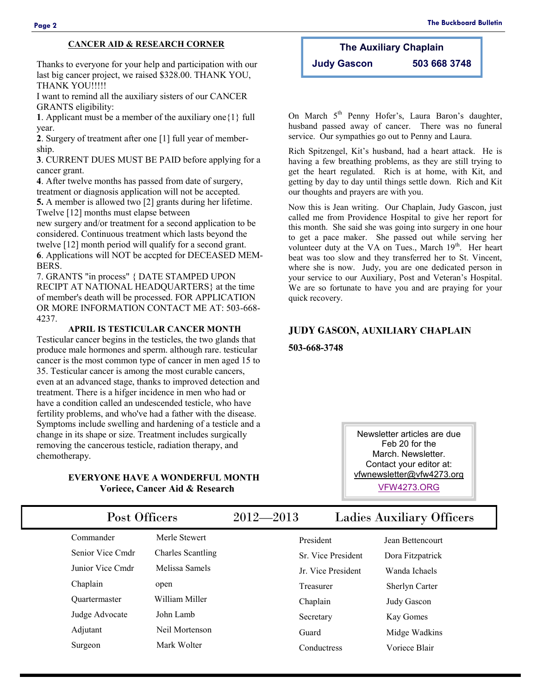#### **CANCER AID & RESEARCH CORNER**

Thanks to everyone for your help and participation with our last big cancer project, we raised \$328.00. THANK YOU, THANK YOU!!!!!

I want to remind all the auxiliary sisters of our CANCER GRANTS eligibility:

**1**. Applicant must be a member of the auxiliary one{1} full year.

**2**. Surgery of treatment after one [1] full year of membership.

**3**. CURRENT DUES MUST BE PAID before applying for a cancer grant.

**4**. After twelve months has passed from date of surgery, treatment or diagnosis application will not be accepted.

**5.** A member is allowed two [2] grants during her lifetime. Twelve [12] months must elapse between

new surgery and/or treatment for a second application to be considered. Continuous treatment which lasts beyond the twelve [12] month period will qualify for a second grant. **6**. Applications will NOT be accpted for DECEASED MEM-BERS.

7. GRANTS "in process" { DATE STAMPED UPON RECIPT AT NATIONAL HEADQUARTERS} at the time of member's death will be processed. FOR APPLICATION OR MORE INFORMATION CONTACT ME AT: 503-668- 4237.

#### **APRIL IS TESTICULAR CANCER MONTH**

Testicular cancer begins in the testicles, the two glands that produce male hormones and sperm. although rare. testicular cancer is the most common type of cancer in men aged 15 to 35. Testicular cancer is among the most curable cancers, even at an advanced stage, thanks to improved detection and treatment. There is a hifger incidence in men who had or have a condition called an undescended testicle, who have fertility problems, and who've had a father with the disease. Symptoms include swelling and hardening of a testicle and a change in its shape or size. Treatment includes surgically removing the cancerous testicle, radiation therapy, and chemotherapy.

#### **EVERYONE HAVE A WONDERFUL MONTH Voriece, Cancer Aid & Research**

### **The Auxiliary Chaplain Judy Gascon 503 668 3748**

On March 5<sup>th</sup> Penny Hofer's, Laura Baron's daughter, husband passed away of cancer. There was no funeral service. Our sympathies go out to Penny and Laura.

Rich Spitzengel, Kit's husband, had a heart attack. He is having a few breathing problems, as they are still trying to get the heart regulated. Rich is at home, with Kit, and getting by day to day until things settle down. Rich and Kit our thoughts and prayers are with you.

Now this is Jean writing. Our Chaplain, Judy Gascon, just called me from Providence Hospital to give her report for this month. She said she was going into surgery in one hour to get a pace maker. She passed out while serving her volunteer duty at the VA on Tues., March 19<sup>th</sup>. Her heart beat was too slow and they transferred her to St. Vincent, where she is now. Judy, you are one dedicated person in your service to our Auxiliary, Post and Veteran's Hospital. We are so fortunate to have you and are praying for your quick recovery.

#### **JUDY GASCON, AUXILIARY CHAPLAIN**

**503-668-3748**

Newsletter articles are due Feb 20 for the March. Newsletter. Contact your editor at: [vfwnewsletter@vfw4273.org](mailto:admin@vfw4273.org)

[VFW4273.ORG](http://vfw4273.org/)

| Post Officers        |                          | $2012 - 2013$ |                    | <b>Ladies Auxiliary Officers</b> |  |
|----------------------|--------------------------|---------------|--------------------|----------------------------------|--|
| Commander            | Merle Stewert            |               | President          | Jean Bettencourt                 |  |
| Senior Vice Cmdr     | <b>Charles Scantling</b> |               | Sr. Vice President | Dora Fitzpatrick                 |  |
| Junior Vice Cmdr     | Melissa Samels           |               | Jr. Vice President | Wanda Ichaels                    |  |
| Chaplain             | open                     |               | Treasurer          | <b>Sherlyn Carter</b>            |  |
| <b>Ouartermaster</b> | William Miller           |               | Chaplain           | Judy Gascon                      |  |
| Judge Advocate       | John Lamb                |               | Secretary          | Kay Gomes                        |  |
| Adjutant             | Neil Mortenson           |               | Guard              | Midge Wadkins                    |  |
| Surgeon              | Mark Wolter              |               | Conductress        | Voriece Blair                    |  |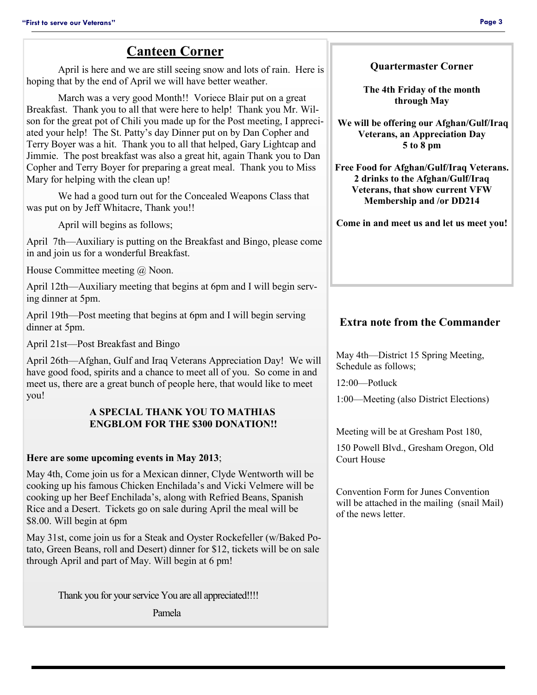### **Canteen Corner**

April is here and we are still seeing snow and lots of rain. Here is hoping that by the end of April we will have better weather.

March was a very good Month!! Voriece Blair put on a great Breakfast. Thank you to all that were here to help! Thank you Mr. Wilson for the great pot of Chili you made up for the Post meeting, I appreciated your help! The St. Patty's day Dinner put on by Dan Copher and Terry Boyer was a hit. Thank you to all that helped, Gary Lightcap and Jimmie. The post breakfast was also a great hit, again Thank you to Dan Copher and Terry Boyer for preparing a great meal. Thank you to Miss Mary for helping with the clean up!

We had a good turn out for the Concealed Weapons Class that was put on by Jeff Whitacre, Thank you!!

April will begins as follows;

April 7th—Auxiliary is putting on the Breakfast and Bingo, please come in and join us for a wonderful Breakfast.

House Committee meeting @ Noon.

April 12th—Auxiliary meeting that begins at 6pm and I will begin serving dinner at 5pm.

April 19th—Post meeting that begins at 6pm and I will begin serving dinner at 5pm.

April 21st—Post Breakfast and Bingo

April 26th—Afghan, Gulf and Iraq Veterans Appreciation Day! We will have good food, spirits and a chance to meet all of you. So come in and meet us, there are a great bunch of people here, that would like to meet you!

#### **A SPECIAL THANK YOU TO MATHIAS ENGBLOM FOR THE \$300 DONATION!!**

### **Here are some upcoming events in May 2013**;

May 4th, Come join us for a Mexican dinner, Clyde Wentworth will be cooking up his famous Chicken Enchilada's and Vicki Velmere will be cooking up her Beef Enchilada's, along with Refried Beans, Spanish Rice and a Desert. Tickets go on sale during April the meal will be \$8.00. Will begin at 6pm

May 31st, come join us for a Steak and Oyster Rockefeller (w/Baked Potato, Green Beans, roll and Desert) dinner for \$12, tickets will be on sale through April and part of May. Will begin at 6 pm!

Thank you for your service You are all appreciated!!!!

Pamela

**Quartermaster Corner**

**The 4th Friday of the month through May**

**We will be offering our Afghan/Gulf/Iraq Veterans, an Appreciation Day 5 to 8 pm**

**Free Food for Afghan/Gulf/Iraq Veterans. 2 drinks to the Afghan/Gulf/Iraq Veterans, that show current VFW Membership and /or DD214**

**Come in and meet us and let us meet you!**

### **Extra note from the Commander**

May 4th—District 15 Spring Meeting, Schedule as follows;

12:00—Potluck

1:00—Meeting (also District Elections)

Meeting will be at Gresham Post 180,

150 Powell Blvd., Gresham Oregon, Old Court House

Convention Form for Junes Convention will be attached in the mailing (snail Mail) of the news letter.